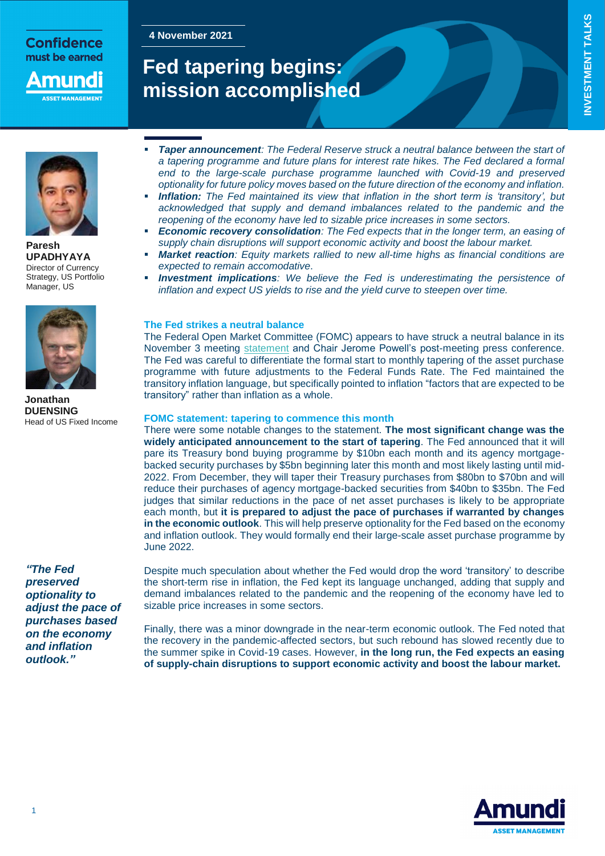## **Confidence** must be earned

nunc **ET MANAGEME** 

**4 November 2021**

# **Fed tapering begins: mission accomplished**



**Paresh UPADHYAYA** Director of Currency Strategy, US Portfolio Manager, US



**Jonathan DUENSING** Head of US Fixed Income

*"The Fed preserved optionality to adjust the pace of purchases based on the economy and inflation outlook."*

- *Taper announcement: The Federal Reserve struck a neutral balance between the start of a tapering programme and future plans for interest rate hikes. The Fed declared a formal end to the large-scale purchase programme launched with Covid-19 and preserved optionality for future policy moves based on the future direction of the economy and inflation.*
- *Inflation: The Fed maintained its view that inflation in the short term is 'transitory', but acknowledged that supply and demand imbalances related to the pandemic and the reopening of the economy have led to sizable price increases in some sectors.*
- *Economic recovery consolidation: The Fed expects that in the longer term, an easing of supply chain disruptions will support economic activity and boost the labour market.*
- *Market reaction: Equity markets rallied to new all-time highs as financial conditions are expected to remain accomodative*.
- *Investment implications: We believe the Fed is underestimating the persistence of inflation and expect US yields to rise and the yield curve to steepen over time.*

#### **The Fed strikes a neutral balance**

The Federal Open Market Committee (FOMC) appears to have struck a neutral balance in its November 3 meeting [statement](https://www.federalreserve.gov/newsevents/pressreleases/monetary20211103a.htm) and Chair Jerome Powell's post-meeting press conference. The Fed was careful to differentiate the formal start to monthly tapering of the asset purchase programme with future adjustments to the Federal Funds Rate. The Fed maintained the transitory inflation language, but specifically pointed to inflation "factors that are expected to be transitory" rather than inflation as a whole.

#### **FOMC statement: tapering to commence this month**

There were some notable changes to the statement. **The most significant change was the widely anticipated announcement to the start of tapering**. The Fed announced that it will pare its Treasury bond buying programme by \$10bn each month and its agency mortgagebacked security purchases by \$5bn beginning later this month and most likely lasting until mid-2022. From December, they will taper their Treasury purchases from \$80bn to \$70bn and will reduce their purchases of agency mortgage-backed securities from \$40bn to \$35bn. The Fed judges that similar reductions in the pace of net asset purchases is likely to be appropriate each month, but **it is prepared to adjust the pace of purchases if warranted by changes in the economic outlook**. This will help preserve optionality for the Fed based on the economy and inflation outlook. They would formally end their large-scale asset purchase programme by June 2022.

Despite much speculation about whether the Fed would drop the word 'transitory' to describe the short-term rise in inflation, the Fed kept its language unchanged, adding that supply and demand imbalances related to the pandemic and the reopening of the economy have led to sizable price increases in some sectors.

Finally, there was a minor downgrade in the near-term economic outlook. The Fed noted that the recovery in the pandemic-affected sectors, but such rebound has slowed recently due to the summer spike in Covid-19 cases. However, **in the long run, the Fed expects an easing of supply-chain disruptions to support economic activity and boost the labour market.**

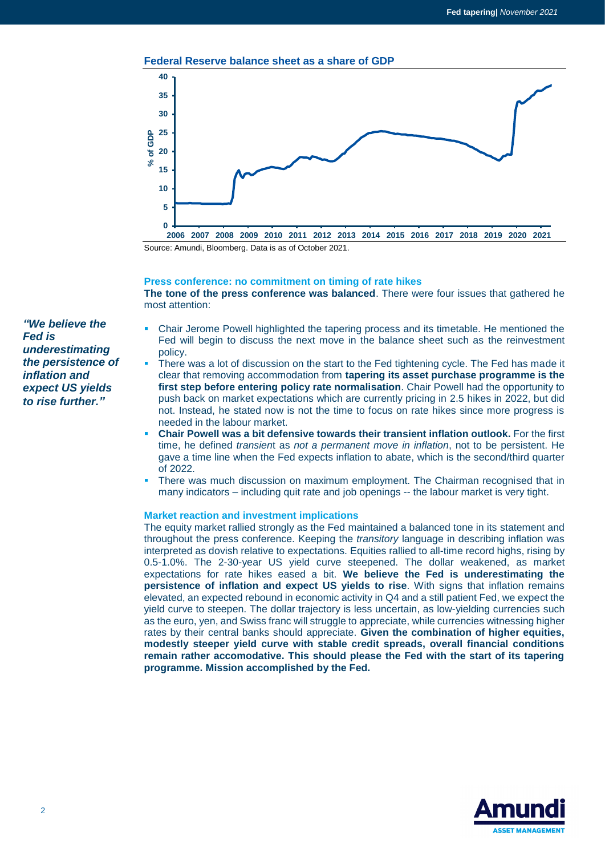



Source: Amundi, Bloomberg. Data is as of October 2021.

#### **Press conference: no commitment on timing of rate hikes**

**The tone of the press conference was balanced**. There were four issues that gathered he most attention:

- *"We believe the Fed is underestimating the persistence of inflation and expect US yields to rise further."*
- Chair Jerome Powell highlighted the tapering process and its timetable. He mentioned the Fed will begin to discuss the next move in the balance sheet such as the reinvestment policy.
- There was a lot of discussion on the start to the Fed tightening cycle. The Fed has made it clear that removing accommodation from **tapering its asset purchase programme is the first step before entering policy rate normalisation**. Chair Powell had the opportunity to push back on market expectations which are currently pricing in 2.5 hikes in 2022, but did not. Instead, he stated now is not the time to focus on rate hikes since more progress is needed in the labour market.
- **Chair Powell was a bit defensive towards their transient inflation outlook.** For the first time, he defined *transien*t as *not a permanent move in inflation*, not to be persistent. He gave a time line when the Fed expects inflation to abate, which is the second/third quarter of 2022.
- There was much discussion on maximum employment. The Chairman recognised that in many indicators – including quit rate and job openings -- the labour market is very tight.

#### **Market reaction and investment implications**

The equity market rallied strongly as the Fed maintained a balanced tone in its statement and throughout the press conference. Keeping the *transitory* language in describing inflation was interpreted as dovish relative to expectations. Equities rallied to all-time record highs, rising by 0.5-1.0%. The 2-30-year US yield curve steepened. The dollar weakened, as market expectations for rate hikes eased a bit. **We believe the Fed is underestimating the persistence of inflation and expect US yields to rise**. With signs that inflation remains elevated, an expected rebound in economic activity in Q4 and a still patient Fed, we expect the yield curve to steepen. The dollar trajectory is less uncertain, as low-yielding currencies such as the euro, yen, and Swiss franc will struggle to appreciate, while currencies witnessing higher rates by their central banks should appreciate. **Given the combination of higher equities, modestly steeper yield curve with stable credit spreads, overall financial conditions remain rather accomodative. This should please the Fed with the start of its tapering programme. Mission accomplished by the Fed.**